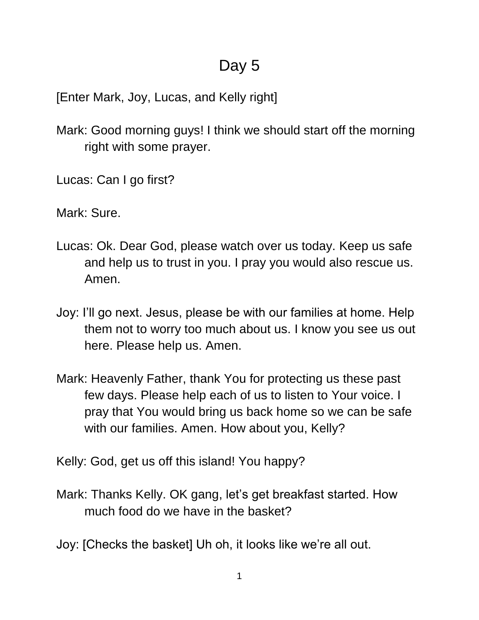## Day 5

[Enter Mark, Joy, Lucas, and Kelly right]

- Mark: Good morning guys! I think we should start off the morning right with some prayer.
- Lucas: Can I go first?

Mark: Sure.

- Lucas: Ok. Dear God, please watch over us today. Keep us safe and help us to trust in you. I pray you would also rescue us. Amen.
- Joy: I'll go next. Jesus, please be with our families at home. Help them not to worry too much about us. I know you see us out here. Please help us. Amen.
- Mark: Heavenly Father, thank You for protecting us these past few days. Please help each of us to listen to Your voice. I pray that You would bring us back home so we can be safe with our families. Amen. How about you, Kelly?

Kelly: God, get us off this island! You happy?

Mark: Thanks Kelly. OK gang, let's get breakfast started. How much food do we have in the basket?

Joy: [Checks the basket] Uh oh, it looks like we're all out.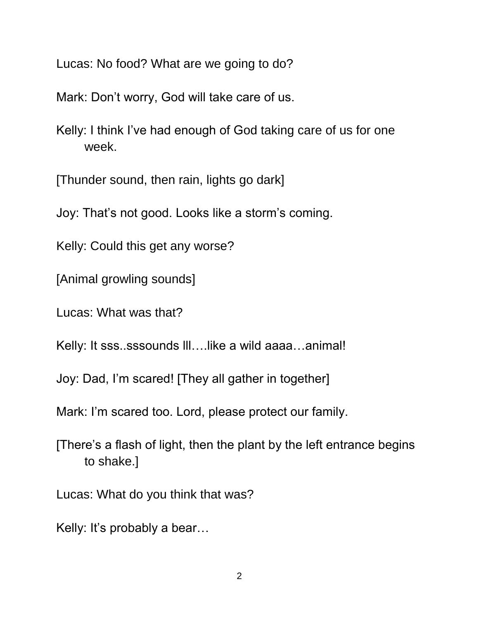Lucas: No food? What are we going to do?

Mark: Don't worry, God will take care of us.

Kelly: I think I've had enough of God taking care of us for one week.

[Thunder sound, then rain, lights go dark]

Joy: That's not good. Looks like a storm's coming.

Kelly: Could this get any worse?

[Animal growling sounds]

Lucas: What was that?

Kelly: It sss..sssounds III.... like a wild aaaa...animal!

Joy: Dad, I'm scared! [They all gather in together]

Mark: I'm scared too. Lord, please protect our family.

[There's a flash of light, then the plant by the left entrance begins to shake.]

Lucas: What do you think that was?

Kelly: It's probably a bear…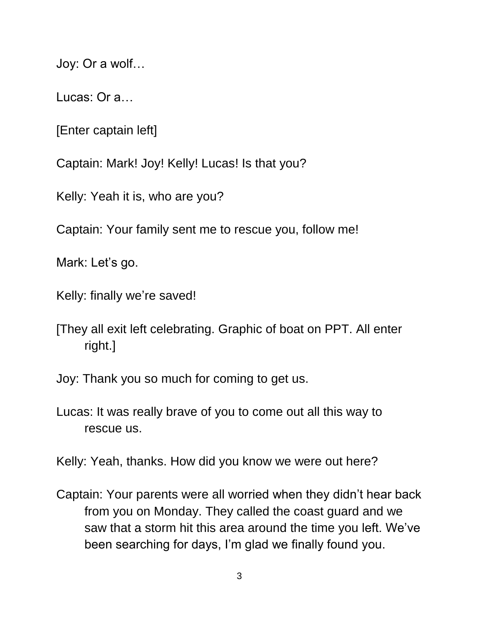Joy: Or a wolf…

Lucas: Or a…

[Enter captain left]

Captain: Mark! Joy! Kelly! Lucas! Is that you?

Kelly: Yeah it is, who are you?

Captain: Your family sent me to rescue you, follow me!

Mark: Let's go.

Kelly: finally we're saved!

[They all exit left celebrating. Graphic of boat on PPT. All enter right.]

Joy: Thank you so much for coming to get us.

Lucas: It was really brave of you to come out all this way to rescue us.

Kelly: Yeah, thanks. How did you know we were out here?

Captain: Your parents were all worried when they didn't hear back from you on Monday. They called the coast guard and we saw that a storm hit this area around the time you left. We've been searching for days, I'm glad we finally found you.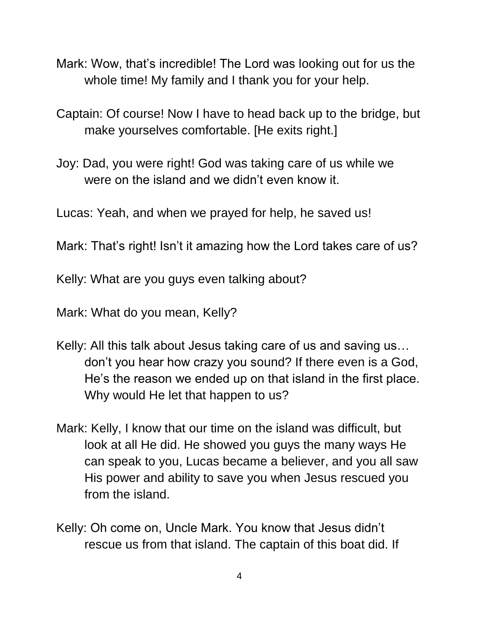- Mark: Wow, that's incredible! The Lord was looking out for us the whole time! My family and I thank you for your help.
- Captain: Of course! Now I have to head back up to the bridge, but make yourselves comfortable. [He exits right.]
- Joy: Dad, you were right! God was taking care of us while we were on the island and we didn't even know it.

Lucas: Yeah, and when we prayed for help, he saved us!

Mark: That's right! Isn't it amazing how the Lord takes care of us?

Kelly: What are you guys even talking about?

Mark: What do you mean, Kelly?

- Kelly: All this talk about Jesus taking care of us and saving us… don't you hear how crazy you sound? If there even is a God, He's the reason we ended up on that island in the first place. Why would He let that happen to us?
- Mark: Kelly, I know that our time on the island was difficult, but look at all He did. He showed you guys the many ways He can speak to you, Lucas became a believer, and you all saw His power and ability to save you when Jesus rescued you from the island.
- Kelly: Oh come on, Uncle Mark. You know that Jesus didn't rescue us from that island. The captain of this boat did. If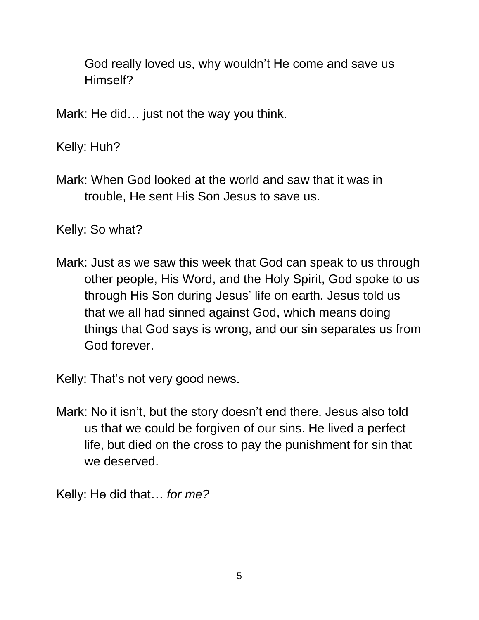God really loved us, why wouldn't He come and save us Himself?

Mark: He did… just not the way you think.

Kelly: Huh?

Mark: When God looked at the world and saw that it was in trouble, He sent His Son Jesus to save us.

Kelly: So what?

Mark: Just as we saw this week that God can speak to us through other people, His Word, and the Holy Spirit, God spoke to us through His Son during Jesus' life on earth. Jesus told us that we all had sinned against God, which means doing things that God says is wrong, and our sin separates us from God forever.

Kelly: That's not very good news.

Mark: No it isn't, but the story doesn't end there. Jesus also told us that we could be forgiven of our sins. He lived a perfect life, but died on the cross to pay the punishment for sin that we deserved.

Kelly: He did that… *for me?*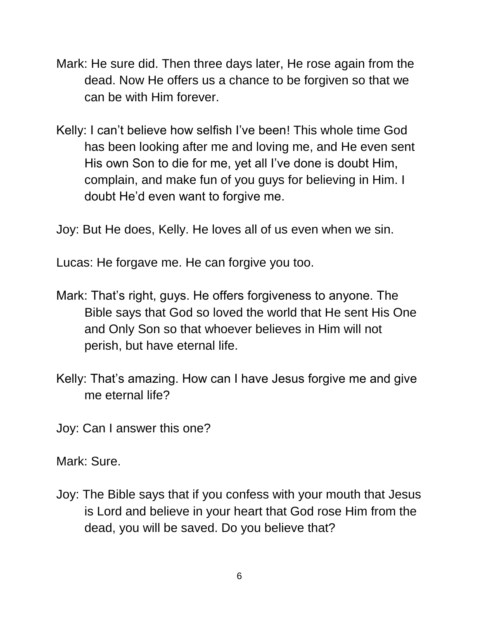- Mark: He sure did. Then three days later, He rose again from the dead. Now He offers us a chance to be forgiven so that we can be with Him forever.
- Kelly: I can't believe how selfish I've been! This whole time God has been looking after me and loving me, and He even sent His own Son to die for me, yet all I've done is doubt Him, complain, and make fun of you guys for believing in Him. I doubt He'd even want to forgive me.

Joy: But He does, Kelly. He loves all of us even when we sin.

Lucas: He forgave me. He can forgive you too.

- Mark: That's right, guys. He offers forgiveness to anyone. The Bible says that God so loved the world that He sent His One and Only Son so that whoever believes in Him will not perish, but have eternal life.
- Kelly: That's amazing. How can I have Jesus forgive me and give me eternal life?

Joy: Can I answer this one?

Mark: Sure.

Joy: The Bible says that if you confess with your mouth that Jesus is Lord and believe in your heart that God rose Him from the dead, you will be saved. Do you believe that?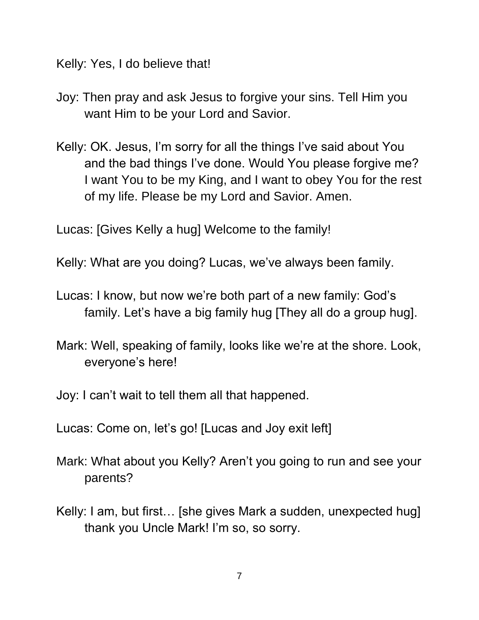Kelly: Yes, I do believe that!

- Joy: Then pray and ask Jesus to forgive your sins. Tell Him you want Him to be your Lord and Savior.
- Kelly: OK. Jesus, I'm sorry for all the things I've said about You and the bad things I've done. Would You please forgive me? I want You to be my King, and I want to obey You for the rest of my life. Please be my Lord and Savior. Amen.

Lucas: [Gives Kelly a hug] Welcome to the family!

Kelly: What are you doing? Lucas, we've always been family.

- Lucas: I know, but now we're both part of a new family: God's family. Let's have a big family hug [They all do a group hug].
- Mark: Well, speaking of family, looks like we're at the shore. Look, everyone's here!

Joy: I can't wait to tell them all that happened.

Lucas: Come on, let's go! [Lucas and Joy exit left]

- Mark: What about you Kelly? Aren't you going to run and see your parents?
- Kelly: I am, but first… [she gives Mark a sudden, unexpected hug] thank you Uncle Mark! I'm so, so sorry.